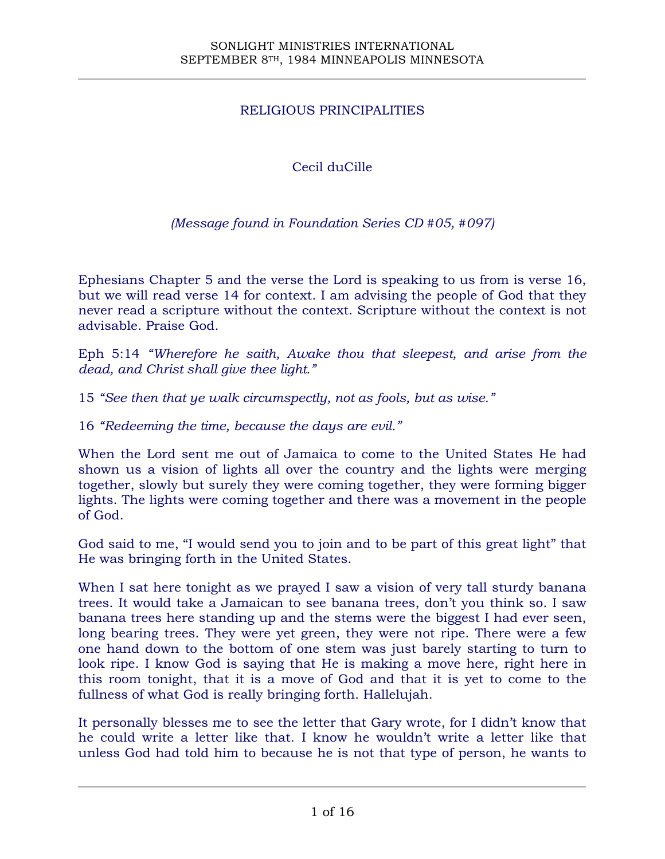## RELIGIOUS PRINCIPALITIES

# Cecil duCille

### *(Message found in Foundation Series CD #05, #097)*

Ephesians Chapter 5 and the verse the Lord is speaking to us from is verse 16, but we will read verse 14 for context. I am advising the people of God that they never read a scripture without the context. Scripture without the context is not advisable. Praise God.

Eph 5:14 *"Wherefore he saith, Awake thou that sleepest, and arise from the dead, and Christ shall give thee light."*

15 *"See then that ye walk circumspectly, not as fools, but as wise."*

16 *"Redeeming the time, because the days are evil."*

When the Lord sent me out of Jamaica to come to the United States He had shown us a vision of lights all over the country and the lights were merging together, slowly but surely they were coming together, they were forming bigger lights. The lights were coming together and there was a movement in the people of God.

God said to me, "I would send you to join and to be part of this great light" that He was bringing forth in the United States.

When I sat here tonight as we prayed I saw a vision of very tall sturdy banana trees. It would take a Jamaican to see banana trees, don't you think so. I saw banana trees here standing up and the stems were the biggest I had ever seen, long bearing trees. They were yet green, they were not ripe. There were a few one hand down to the bottom of one stem was just barely starting to turn to look ripe. I know God is saying that He is making a move here, right here in this room tonight, that it is a move of God and that it is yet to come to the fullness of what God is really bringing forth. Hallelujah.

It personally blesses me to see the letter that Gary wrote, for I didn't know that he could write a letter like that. I know he wouldn't write a letter like that unless God had told him to because he is not that type of person, he wants to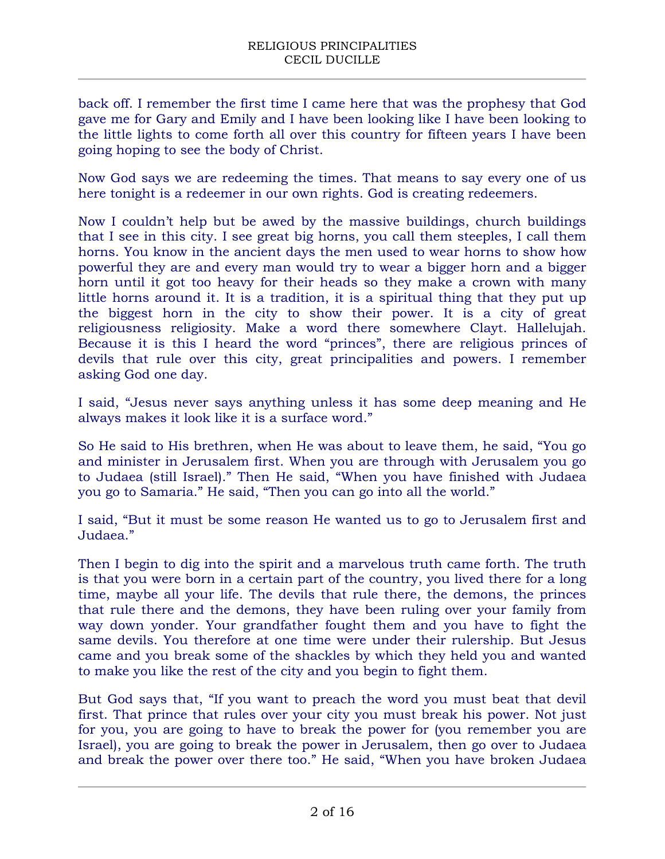back off. I remember the first time I came here that was the prophesy that God gave me for Gary and Emily and I have been looking like I have been looking to the little lights to come forth all over this country for fifteen years I have been going hoping to see the body of Christ.

Now God says we are redeeming the times. That means to say every one of us here tonight is a redeemer in our own rights. God is creating redeemers.

Now I couldn't help but be awed by the massive buildings, church buildings that I see in this city. I see great big horns, you call them steeples, I call them horns. You know in the ancient days the men used to wear horns to show how powerful they are and every man would try to wear a bigger horn and a bigger horn until it got too heavy for their heads so they make a crown with many little horns around it. It is a tradition, it is a spiritual thing that they put up the biggest horn in the city to show their power. It is a city of great religiousness religiosity. Make a word there somewhere Clayt. Hallelujah. Because it is this I heard the word "princes", there are religious princes of devils that rule over this city, great principalities and powers. I remember asking God one day.

I said, "Jesus never says anything unless it has some deep meaning and He always makes it look like it is a surface word."

So He said to His brethren, when He was about to leave them, he said, "You go and minister in Jerusalem first. When you are through with Jerusalem you go to Judaea (still Israel)." Then He said, "When you have finished with Judaea you go to Samaria." He said, "Then you can go into all the world."

I said, "But it must be some reason He wanted us to go to Jerusalem first and Judaea."

Then I begin to dig into the spirit and a marvelous truth came forth. The truth is that you were born in a certain part of the country, you lived there for a long time, maybe all your life. The devils that rule there, the demons, the princes that rule there and the demons, they have been ruling over your family from way down yonder. Your grandfather fought them and you have to fight the same devils. You therefore at one time were under their rulership. But Jesus came and you break some of the shackles by which they held you and wanted to make you like the rest of the city and you begin to fight them.

But God says that, "If you want to preach the word you must beat that devil first. That prince that rules over your city you must break his power. Not just for you, you are going to have to break the power for (you remember you are Israel), you are going to break the power in Jerusalem, then go over to Judaea and break the power over there too." He said, "When you have broken Judaea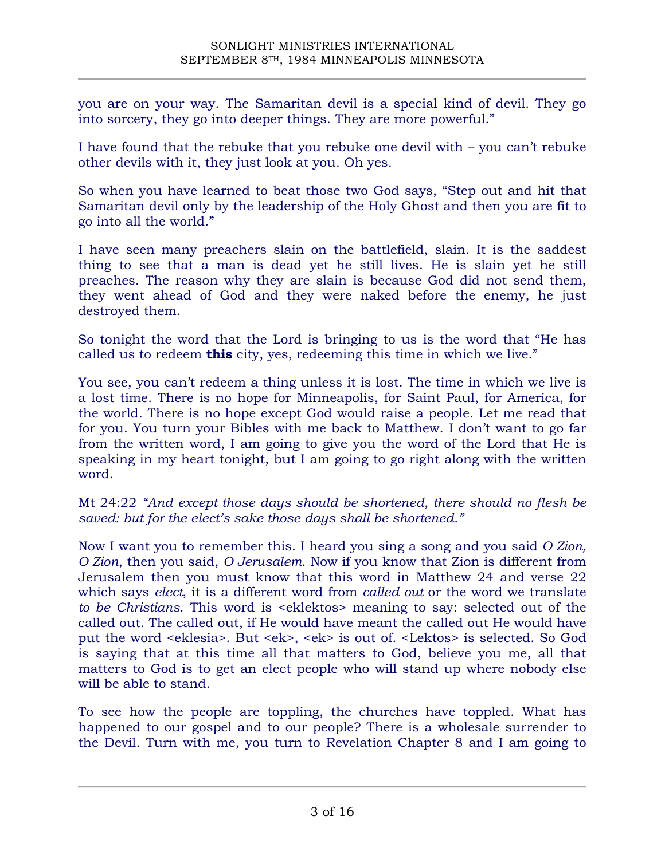you are on your way. The Samaritan devil is a special kind of devil. They go into sorcery, they go into deeper things. They are more powerful."

I have found that the rebuke that you rebuke one devil with – you can't rebuke other devils with it, they just look at you. Oh yes.

So when you have learned to beat those two God says, "Step out and hit that Samaritan devil only by the leadership of the Holy Ghost and then you are fit to go into all the world."

I have seen many preachers slain on the battlefield, slain. It is the saddest thing to see that a man is dead yet he still lives. He is slain yet he still preaches. The reason why they are slain is because God did not send them, they went ahead of God and they were naked before the enemy, he just destroyed them.

So tonight the word that the Lord is bringing to us is the word that "He has called us to redeem **this** city, yes, redeeming this time in which we live."

You see, you can't redeem a thing unless it is lost. The time in which we live is a lost time. There is no hope for Minneapolis, for Saint Paul, for America, for the world. There is no hope except God would raise a people. Let me read that for you. You turn your Bibles with me back to Matthew. I don't want to go far from the written word, I am going to give you the word of the Lord that He is speaking in my heart tonight, but I am going to go right along with the written word.

Mt 24:22 *"And except those days should be shortened, there should no flesh be saved: but for the elect's sake those days shall be shortened."*

Now I want you to remember this. I heard you sing a song and you said *O Zion, O Zion*, then you said, *O Jerusalem*. Now if you know that Zion is different from Jerusalem then you must know that this word in Matthew 24 and verse 22 which says *elect*, it is a different word from *called out* or the word we translate *to be Christians*. This word is <eklektos> meaning to say: selected out of the called out. The called out, if He would have meant the called out He would have put the word <eklesia>. But <ek>, <ek> is out of. <Lektos> is selected. So God is saying that at this time all that matters to God, believe you me, all that matters to God is to get an elect people who will stand up where nobody else will be able to stand.

To see how the people are toppling, the churches have toppled. What has happened to our gospel and to our people? There is a wholesale surrender to the Devil. Turn with me, you turn to Revelation Chapter 8 and I am going to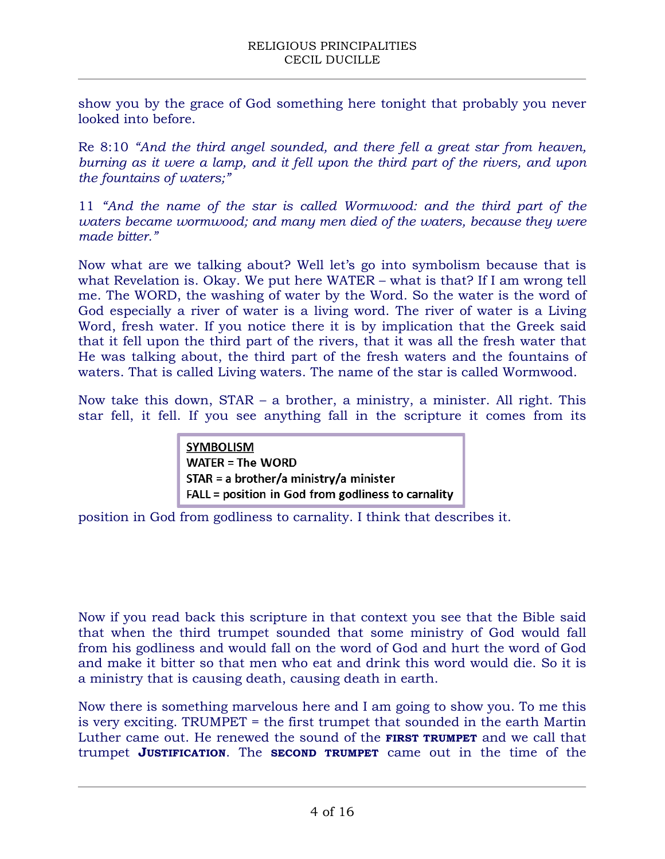show you by the grace of God something here tonight that probably you never looked into before.

Re 8:10 *"And the third angel sounded, and there fell a great star from heaven, burning as it were a lamp, and it fell upon the third part of the rivers, and upon the fountains of waters;"*

11 *"And the name of the star is called Wormwood: and the third part of the waters became wormwood; and many men died of the waters, because they were made bitter."*

Now what are we talking about? Well let's go into symbolism because that is what Revelation is. Okay. We put here WATER – what is that? If I am wrong tell me. The WORD, the washing of water by the Word. So the water is the word of God especially a river of water is a living word. The river of water is a Living Word, fresh water. If you notice there it is by implication that the Greek said that it fell upon the third part of the rivers, that it was all the fresh water that He was talking about, the third part of the fresh waters and the fountains of waters. That is called Living waters. The name of the star is called Wormwood.

Now take this down, STAR – a brother, a ministry, a minister. All right. This star fell, it fell. If you see anything fall in the scripture it comes from its

> **SYMBOLISM WATER = The WORD**  $STAR = a brother/a ministry/a minister$ FALL = position in God from godliness to carnality

position in God from godliness to carnality. I think that describes it.

Now if you read back this scripture in that context you see that the Bible said that when the third trumpet sounded that some ministry of God would fall from his godliness and would fall on the word of God and hurt the word of God and make it bitter so that men who eat and drink this word would die. So it is a ministry that is causing death, causing death in earth.

Now there is something marvelous here and I am going to show you. To me this is very exciting. TRUMPET = the first trumpet that sounded in the earth Martin Luther came out. He renewed the sound of the **FIRST TRUMPET** and we call that trumpet **JUSTIFICATION**. The **SECOND TRUMPET** came out in the time of the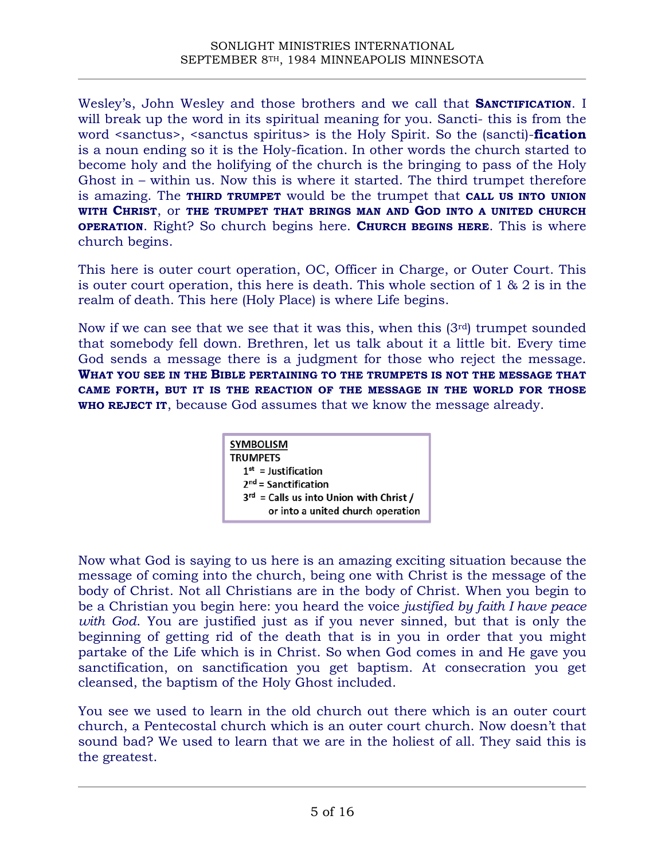Wesley's, John Wesley and those brothers and we call that **SANCTIFICATION**. I will break up the word in its spiritual meaning for you. Sancti- this is from the word <sanctus>, <sanctus spiritus> is the Holy Spirit. So the (sancti)-**fication** is a noun ending so it is the Holy-fication. In other words the church started to become holy and the holifying of the church is the bringing to pass of the Holy Ghost in – within us. Now this is where it started. The third trumpet therefore is amazing. The **THIRD TRUMPET** would be the trumpet that **CALL US INTO UNION WITH CHRIST**, or **THE TRUMPET THAT BRINGS MAN AND GOD INTO A UNITED CHURCH OPERATION**. Right? So church begins here. **CHURCH BEGINS HERE**. This is where church begins.

This here is outer court operation, OC, Officer in Charge, or Outer Court. This is outer court operation, this here is death. This whole section of 1 & 2 is in the realm of death. This here (Holy Place) is where Life begins.

Now if we can see that we see that it was this, when this (3rd) trumpet sounded that somebody fell down. Brethren, let us talk about it a little bit. Every time God sends a message there is a judgment for those who reject the message. **WHAT YOU SEE IN THE BIBLE PERTAINING TO THE TRUMPETS IS NOT THE MESSAGE THAT CAME FORTH, BUT IT IS THE REACTION OF THE MESSAGE IN THE WORLD FOR THOSE WHO REJECT IT**, because God assumes that we know the message already.

| <b>SYMBOLISM</b><br><b>TRUMPETS</b>          |
|----------------------------------------------|
| $1st$ = Justification                        |
| $2nd$ = Sanctification                       |
| $3^{rd}$ = Calls us into Union with Christ / |
| or into a united church operation            |

Now what God is saying to us here is an amazing exciting situation because the message of coming into the church, being one with Christ is the message of the body of Christ. Not all Christians are in the body of Christ. When you begin to be a Christian you begin here: you heard the voice *justified by faith I have peace with God*. You are justified just as if you never sinned, but that is only the beginning of getting rid of the death that is in you in order that you might partake of the Life which is in Christ. So when God comes in and He gave you sanctification, on sanctification you get baptism. At consecration you get cleansed, the baptism of the Holy Ghost included.

You see we used to learn in the old church out there which is an outer court church, a Pentecostal church which is an outer court church. Now doesn't that sound bad? We used to learn that we are in the holiest of all. They said this is the greatest.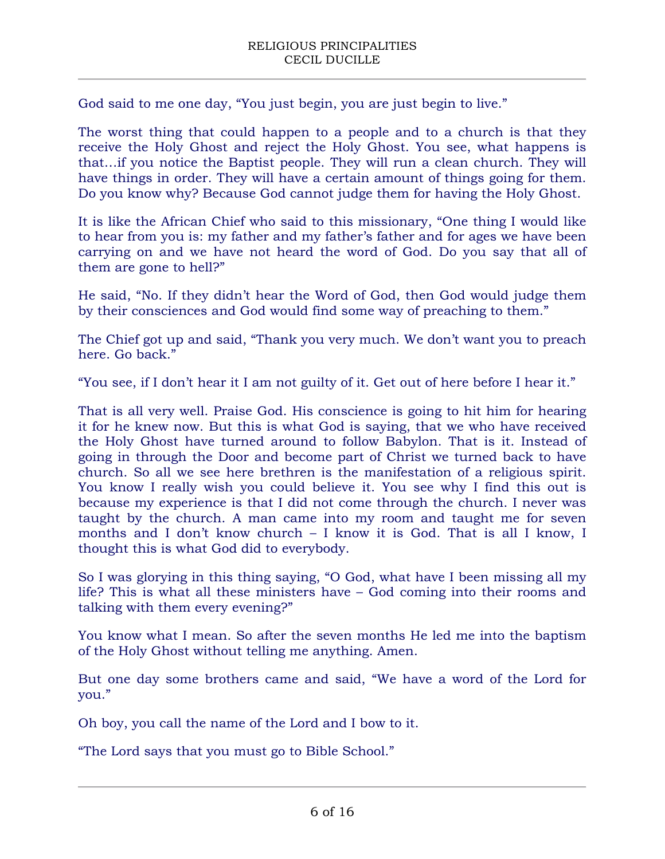God said to me one day, "You just begin, you are just begin to live."

The worst thing that could happen to a people and to a church is that they receive the Holy Ghost and reject the Holy Ghost. You see, what happens is that…if you notice the Baptist people. They will run a clean church. They will have things in order. They will have a certain amount of things going for them. Do you know why? Because God cannot judge them for having the Holy Ghost.

It is like the African Chief who said to this missionary, "One thing I would like to hear from you is: my father and my father's father and for ages we have been carrying on and we have not heard the word of God. Do you say that all of them are gone to hell?"

He said, "No. If they didn't hear the Word of God, then God would judge them by their consciences and God would find some way of preaching to them."

The Chief got up and said, "Thank you very much. We don't want you to preach here. Go back."

"You see, if I don't hear it I am not guilty of it. Get out of here before I hear it."

That is all very well. Praise God. His conscience is going to hit him for hearing it for he knew now. But this is what God is saying, that we who have received the Holy Ghost have turned around to follow Babylon. That is it. Instead of going in through the Door and become part of Christ we turned back to have church. So all we see here brethren is the manifestation of a religious spirit. You know I really wish you could believe it. You see why I find this out is because my experience is that I did not come through the church. I never was taught by the church. A man came into my room and taught me for seven months and I don't know church – I know it is God. That is all I know, I thought this is what God did to everybody.

So I was glorying in this thing saying, "O God, what have I been missing all my life? This is what all these ministers have – God coming into their rooms and talking with them every evening?"

You know what I mean. So after the seven months He led me into the baptism of the Holy Ghost without telling me anything. Amen.

But one day some brothers came and said, "We have a word of the Lord for you."

Oh boy, you call the name of the Lord and I bow to it.

"The Lord says that you must go to Bible School."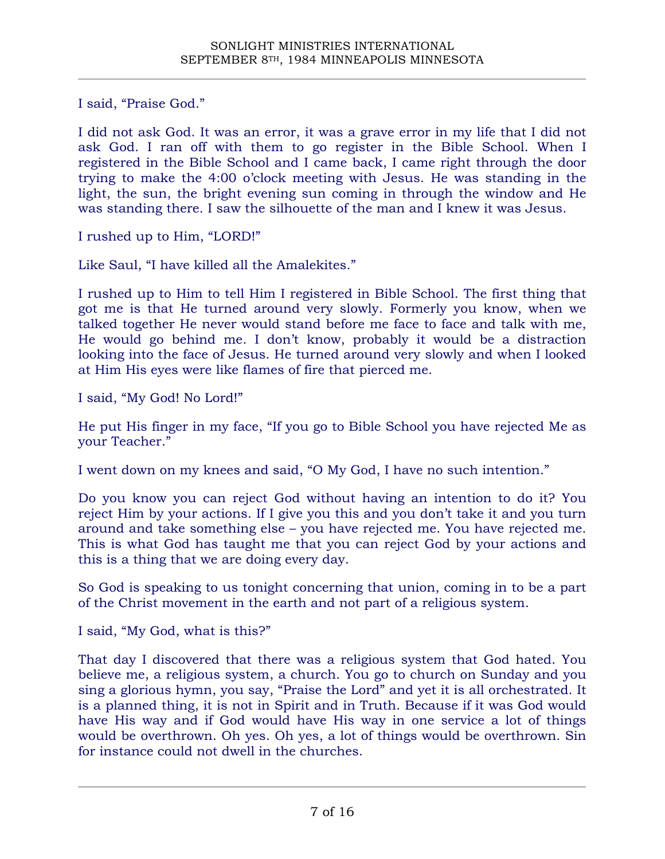I said, "Praise God."

I did not ask God. It was an error, it was a grave error in my life that I did not ask God. I ran off with them to go register in the Bible School. When I registered in the Bible School and I came back, I came right through the door trying to make the 4:00 o'clock meeting with Jesus. He was standing in the light, the sun, the bright evening sun coming in through the window and He was standing there. I saw the silhouette of the man and I knew it was Jesus.

I rushed up to Him, "LORD!"

Like Saul, "I have killed all the Amalekites."

I rushed up to Him to tell Him I registered in Bible School. The first thing that got me is that He turned around very slowly. Formerly you know, when we talked together He never would stand before me face to face and talk with me, He would go behind me. I don't know, probably it would be a distraction looking into the face of Jesus. He turned around very slowly and when I looked at Him His eyes were like flames of fire that pierced me.

I said, "My God! No Lord!"

He put His finger in my face, "If you go to Bible School you have rejected Me as your Teacher."

I went down on my knees and said, "O My God, I have no such intention."

Do you know you can reject God without having an intention to do it? You reject Him by your actions. If I give you this and you don't take it and you turn around and take something else – you have rejected me. You have rejected me. This is what God has taught me that you can reject God by your actions and this is a thing that we are doing every day.

So God is speaking to us tonight concerning that union, coming in to be a part of the Christ movement in the earth and not part of a religious system.

I said, "My God, what is this?"

That day I discovered that there was a religious system that God hated. You believe me, a religious system, a church. You go to church on Sunday and you sing a glorious hymn, you say, "Praise the Lord" and yet it is all orchestrated. It is a planned thing, it is not in Spirit and in Truth. Because if it was God would have His way and if God would have His way in one service a lot of things would be overthrown. Oh yes. Oh yes, a lot of things would be overthrown. Sin for instance could not dwell in the churches.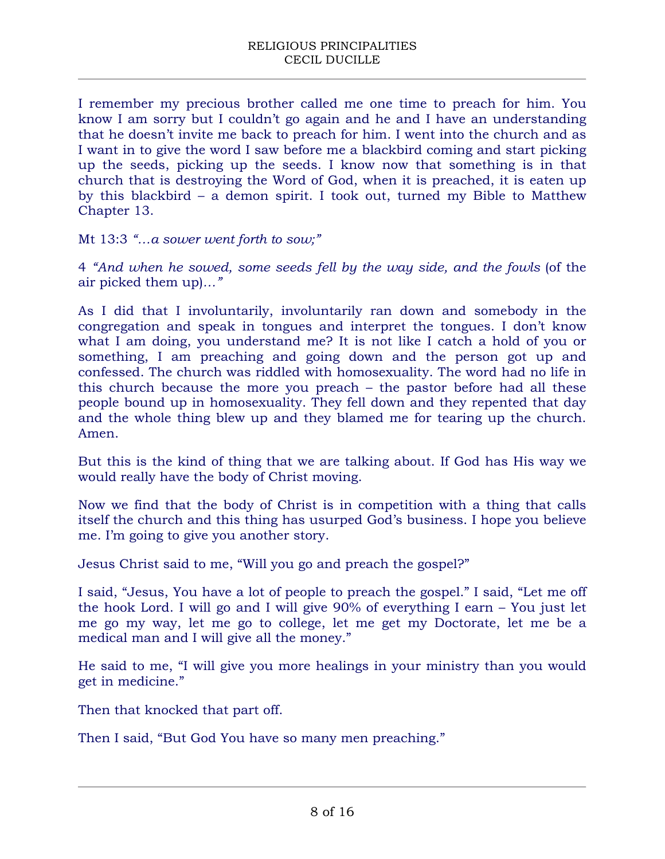I remember my precious brother called me one time to preach for him. You know I am sorry but I couldn't go again and he and I have an understanding that he doesn't invite me back to preach for him. I went into the church and as I want in to give the word I saw before me a blackbird coming and start picking up the seeds, picking up the seeds. I know now that something is in that church that is destroying the Word of God, when it is preached, it is eaten up by this blackbird – a demon spirit. I took out, turned my Bible to Matthew Chapter 13.

Mt 13:3 *"…a sower went forth to sow;"*

4 *"And when he sowed, some seeds fell by the way side, and the fowls* (of the air picked them up)*…"*

As I did that I involuntarily, involuntarily ran down and somebody in the congregation and speak in tongues and interpret the tongues. I don't know what I am doing, you understand me? It is not like I catch a hold of you or something, I am preaching and going down and the person got up and confessed. The church was riddled with homosexuality. The word had no life in this church because the more you preach – the pastor before had all these people bound up in homosexuality. They fell down and they repented that day and the whole thing blew up and they blamed me for tearing up the church. Amen.

But this is the kind of thing that we are talking about. If God has His way we would really have the body of Christ moving.

Now we find that the body of Christ is in competition with a thing that calls itself the church and this thing has usurped God's business. I hope you believe me. I'm going to give you another story.

Jesus Christ said to me, "Will you go and preach the gospel?"

I said, "Jesus, You have a lot of people to preach the gospel." I said, "Let me off the hook Lord. I will go and I will give 90% of everything I earn – You just let me go my way, let me go to college, let me get my Doctorate, let me be a medical man and I will give all the money."

He said to me, "I will give you more healings in your ministry than you would get in medicine."

Then that knocked that part off.

Then I said, "But God You have so many men preaching."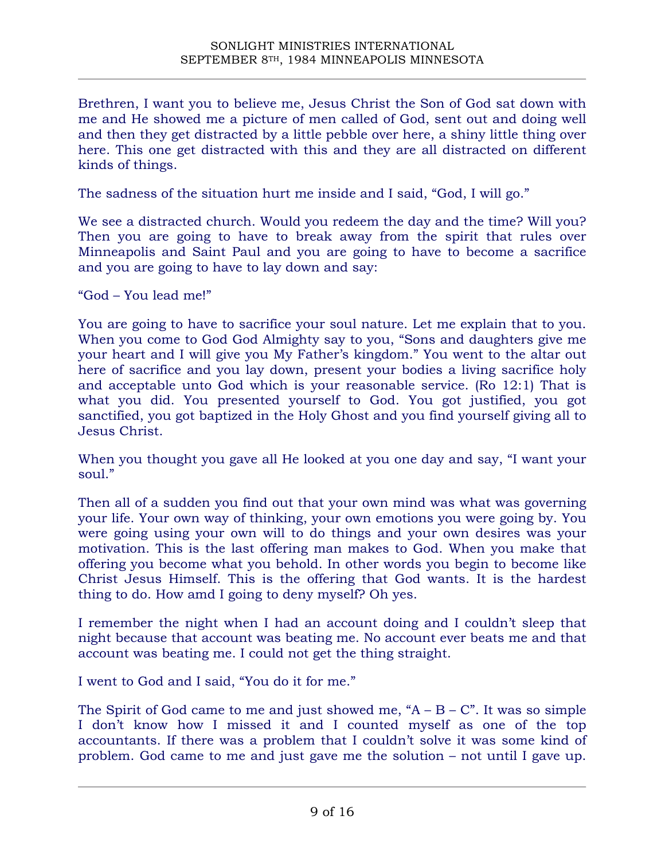Brethren, I want you to believe me, Jesus Christ the Son of God sat down with me and He showed me a picture of men called of God, sent out and doing well and then they get distracted by a little pebble over here, a shiny little thing over here. This one get distracted with this and they are all distracted on different kinds of things.

The sadness of the situation hurt me inside and I said, "God, I will go."

We see a distracted church. Would you redeem the day and the time? Will you? Then you are going to have to break away from the spirit that rules over Minneapolis and Saint Paul and you are going to have to become a sacrifice and you are going to have to lay down and say:

"God – You lead me!"

You are going to have to sacrifice your soul nature. Let me explain that to you. When you come to God God Almighty say to you, "Sons and daughters give me your heart and I will give you My Father's kingdom." You went to the altar out here of sacrifice and you lay down, present your bodies a living sacrifice holy and acceptable unto God which is your reasonable service. (Ro 12:1) That is what you did. You presented yourself to God. You got justified, you got sanctified, you got baptized in the Holy Ghost and you find yourself giving all to Jesus Christ.

When you thought you gave all He looked at you one day and say, "I want your soul."

Then all of a sudden you find out that your own mind was what was governing your life. Your own way of thinking, your own emotions you were going by. You were going using your own will to do things and your own desires was your motivation. This is the last offering man makes to God. When you make that offering you become what you behold. In other words you begin to become like Christ Jesus Himself. This is the offering that God wants. It is the hardest thing to do. How amd I going to deny myself? Oh yes.

I remember the night when I had an account doing and I couldn't sleep that night because that account was beating me. No account ever beats me and that account was beating me. I could not get the thing straight.

I went to God and I said, "You do it for me."

The Spirit of God came to me and just showed me,  $A - B - C$ . It was so simple I don't know how I missed it and I counted myself as one of the top accountants. If there was a problem that I couldn't solve it was some kind of problem. God came to me and just gave me the solution – not until I gave up.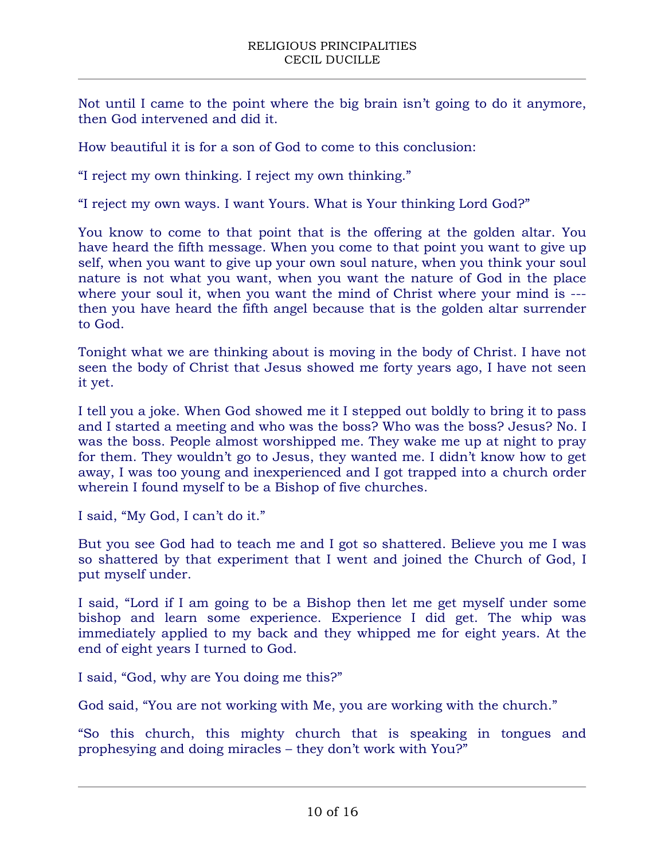Not until I came to the point where the big brain isn't going to do it anymore, then God intervened and did it.

How beautiful it is for a son of God to come to this conclusion:

"I reject my own thinking. I reject my own thinking."

"I reject my own ways. I want Yours. What is Your thinking Lord God?"

You know to come to that point that is the offering at the golden altar. You have heard the fifth message. When you come to that point you want to give up self, when you want to give up your own soul nature, when you think your soul nature is not what you want, when you want the nature of God in the place where your soul it, when you want the mind of Christ where your mind is --then you have heard the fifth angel because that is the golden altar surrender to God.

Tonight what we are thinking about is moving in the body of Christ. I have not seen the body of Christ that Jesus showed me forty years ago, I have not seen it yet.

I tell you a joke. When God showed me it I stepped out boldly to bring it to pass and I started a meeting and who was the boss? Who was the boss? Jesus? No. I was the boss. People almost worshipped me. They wake me up at night to pray for them. They wouldn't go to Jesus, they wanted me. I didn't know how to get away, I was too young and inexperienced and I got trapped into a church order wherein I found myself to be a Bishop of five churches.

I said, "My God, I can't do it."

But you see God had to teach me and I got so shattered. Believe you me I was so shattered by that experiment that I went and joined the Church of God, I put myself under.

I said, "Lord if I am going to be a Bishop then let me get myself under some bishop and learn some experience. Experience I did get. The whip was immediately applied to my back and they whipped me for eight years. At the end of eight years I turned to God.

I said, "God, why are You doing me this?"

God said, "You are not working with Me, you are working with the church."

"So this church, this mighty church that is speaking in tongues and prophesying and doing miracles – they don't work with You?"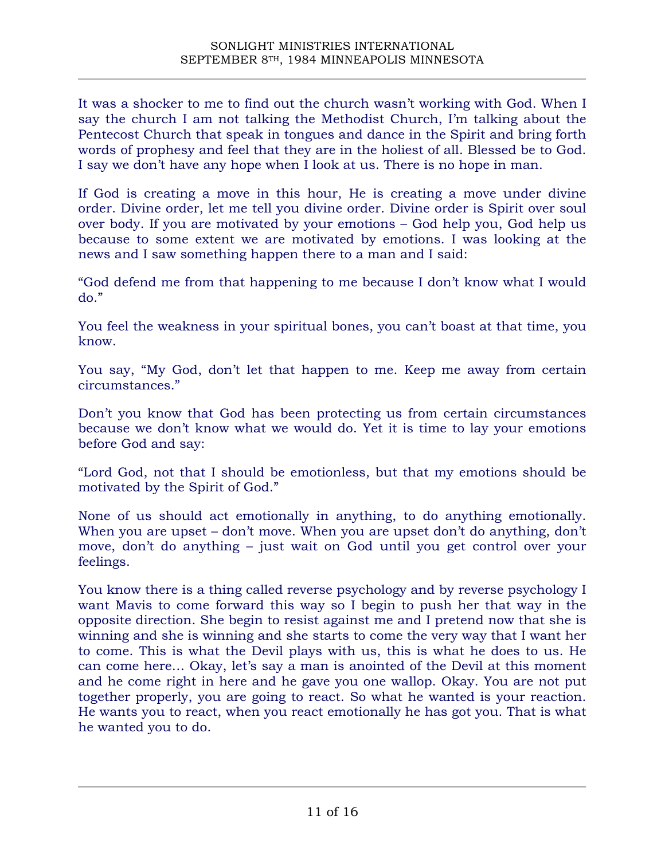It was a shocker to me to find out the church wasn't working with God. When I say the church I am not talking the Methodist Church, I'm talking about the Pentecost Church that speak in tongues and dance in the Spirit and bring forth words of prophesy and feel that they are in the holiest of all. Blessed be to God. I say we don't have any hope when I look at us. There is no hope in man.

If God is creating a move in this hour, He is creating a move under divine order. Divine order, let me tell you divine order. Divine order is Spirit over soul over body. If you are motivated by your emotions – God help you, God help us because to some extent we are motivated by emotions. I was looking at the news and I saw something happen there to a man and I said:

"God defend me from that happening to me because I don't know what I would do."

You feel the weakness in your spiritual bones, you can't boast at that time, you know.

You say, "My God, don't let that happen to me. Keep me away from certain circumstances."

Don't you know that God has been protecting us from certain circumstances because we don't know what we would do. Yet it is time to lay your emotions before God and say:

"Lord God, not that I should be emotionless, but that my emotions should be motivated by the Spirit of God."

None of us should act emotionally in anything, to do anything emotionally. When you are upset – don't move. When you are upset don't do anything, don't move, don't do anything – just wait on God until you get control over your feelings.

You know there is a thing called reverse psychology and by reverse psychology I want Mavis to come forward this way so I begin to push her that way in the opposite direction. She begin to resist against me and I pretend now that she is winning and she is winning and she starts to come the very way that I want her to come. This is what the Devil plays with us, this is what he does to us. He can come here… Okay, let's say a man is anointed of the Devil at this moment and he come right in here and he gave you one wallop. Okay. You are not put together properly, you are going to react. So what he wanted is your reaction. He wants you to react, when you react emotionally he has got you. That is what he wanted you to do.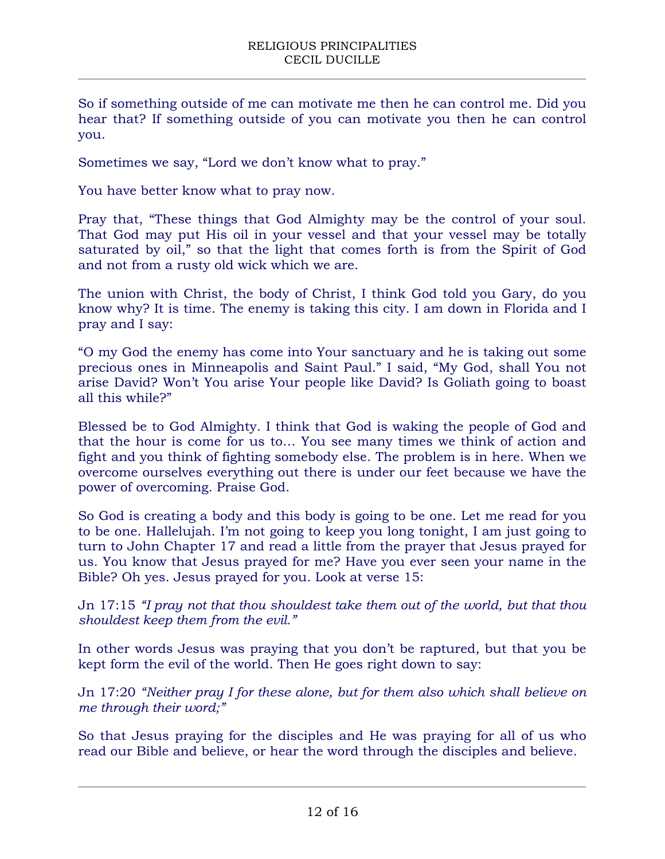So if something outside of me can motivate me then he can control me. Did you hear that? If something outside of you can motivate you then he can control you.

Sometimes we say, "Lord we don't know what to pray."

You have better know what to pray now.

Pray that, "These things that God Almighty may be the control of your soul. That God may put His oil in your vessel and that your vessel may be totally saturated by oil," so that the light that comes forth is from the Spirit of God and not from a rusty old wick which we are.

The union with Christ, the body of Christ, I think God told you Gary, do you know why? It is time. The enemy is taking this city. I am down in Florida and I pray and I say:

"O my God the enemy has come into Your sanctuary and he is taking out some precious ones in Minneapolis and Saint Paul." I said, "My God, shall You not arise David? Won't You arise Your people like David? Is Goliath going to boast all this while?"

Blessed be to God Almighty. I think that God is waking the people of God and that the hour is come for us to… You see many times we think of action and fight and you think of fighting somebody else. The problem is in here. When we overcome ourselves everything out there is under our feet because we have the power of overcoming. Praise God.

So God is creating a body and this body is going to be one. Let me read for you to be one. Hallelujah. I'm not going to keep you long tonight, I am just going to turn to John Chapter 17 and read a little from the prayer that Jesus prayed for us. You know that Jesus prayed for me? Have you ever seen your name in the Bible? Oh yes. Jesus prayed for you. Look at verse 15:

Jn 17:15 *"I pray not that thou shouldest take them out of the world, but that thou shouldest keep them from the evil."*

In other words Jesus was praying that you don't be raptured, but that you be kept form the evil of the world. Then He goes right down to say:

Jn 17:20 *"Neither pray I for these alone, but for them also which shall believe on me through their word;"*

So that Jesus praying for the disciples and He was praying for all of us who read our Bible and believe, or hear the word through the disciples and believe.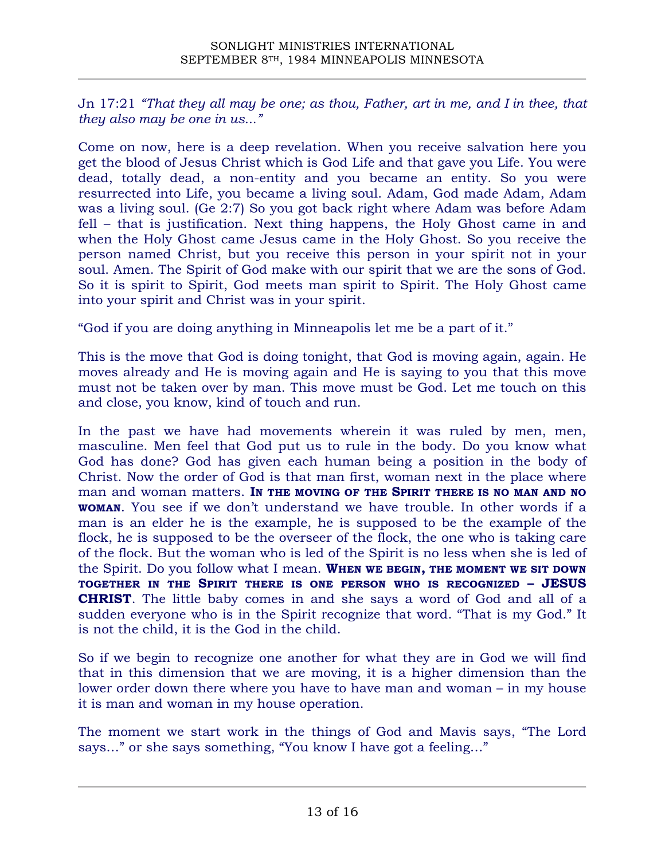Jn 17:21 *"That they all may be one; as thou, Father, art in me, and I in thee, that they also may be one in us..."*

Come on now, here is a deep revelation. When you receive salvation here you get the blood of Jesus Christ which is God Life and that gave you Life. You were dead, totally dead, a non-entity and you became an entity. So you were resurrected into Life, you became a living soul. Adam, God made Adam, Adam was a living soul. (Ge 2:7) So you got back right where Adam was before Adam fell – that is justification. Next thing happens, the Holy Ghost came in and when the Holy Ghost came Jesus came in the Holy Ghost. So you receive the person named Christ, but you receive this person in your spirit not in your soul. Amen. The Spirit of God make with our spirit that we are the sons of God. So it is spirit to Spirit, God meets man spirit to Spirit. The Holy Ghost came into your spirit and Christ was in your spirit.

"God if you are doing anything in Minneapolis let me be a part of it."

This is the move that God is doing tonight, that God is moving again, again. He moves already and He is moving again and He is saying to you that this move must not be taken over by man. This move must be God. Let me touch on this and close, you know, kind of touch and run.

In the past we have had movements wherein it was ruled by men, men, masculine. Men feel that God put us to rule in the body. Do you know what God has done? God has given each human being a position in the body of Christ. Now the order of God is that man first, woman next in the place where man and woman matters. **IN THE MOVING OF THE SPIRIT THERE IS NO MAN AND NO WOMAN**. You see if we don't understand we have trouble. In other words if a man is an elder he is the example, he is supposed to be the example of the flock, he is supposed to be the overseer of the flock, the one who is taking care of the flock. But the woman who is led of the Spirit is no less when she is led of the Spirit. Do you follow what I mean. **WHEN WE BEGIN, THE MOMENT WE SIT DOWN TOGETHER IN THE SPIRIT THERE IS ONE PERSON WHO IS RECOGNIZED – JESUS CHRIST**. The little baby comes in and she says a word of God and all of a sudden everyone who is in the Spirit recognize that word. "That is my God." It is not the child, it is the God in the child.

So if we begin to recognize one another for what they are in God we will find that in this dimension that we are moving, it is a higher dimension than the lower order down there where you have to have man and woman – in my house it is man and woman in my house operation.

The moment we start work in the things of God and Mavis says, "The Lord says…" or she says something, "You know I have got a feeling…"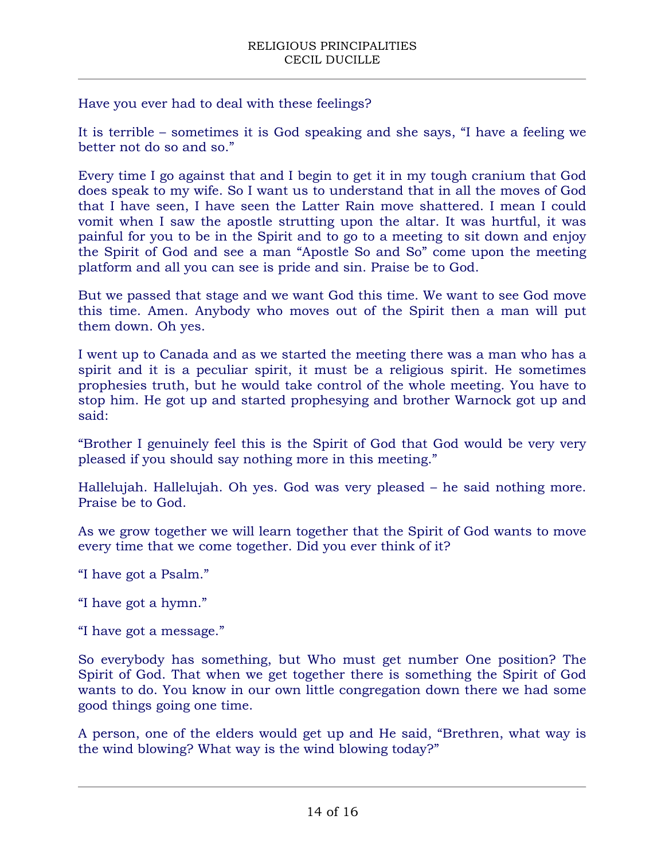Have you ever had to deal with these feelings?

It is terrible – sometimes it is God speaking and she says, "I have a feeling we better not do so and so."

Every time I go against that and I begin to get it in my tough cranium that God does speak to my wife. So I want us to understand that in all the moves of God that I have seen, I have seen the Latter Rain move shattered. I mean I could vomit when I saw the apostle strutting upon the altar. It was hurtful, it was painful for you to be in the Spirit and to go to a meeting to sit down and enjoy the Spirit of God and see a man "Apostle So and So" come upon the meeting platform and all you can see is pride and sin. Praise be to God.

But we passed that stage and we want God this time. We want to see God move this time. Amen. Anybody who moves out of the Spirit then a man will put them down. Oh yes.

I went up to Canada and as we started the meeting there was a man who has a spirit and it is a peculiar spirit, it must be a religious spirit. He sometimes prophesies truth, but he would take control of the whole meeting. You have to stop him. He got up and started prophesying and brother Warnock got up and said:

"Brother I genuinely feel this is the Spirit of God that God would be very very pleased if you should say nothing more in this meeting."

Hallelujah. Hallelujah. Oh yes. God was very pleased – he said nothing more. Praise be to God.

As we grow together we will learn together that the Spirit of God wants to move every time that we come together. Did you ever think of it?

- "I have got a Psalm."
- "I have got a hymn."
- "I have got a message."

So everybody has something, but Who must get number One position? The Spirit of God. That when we get together there is something the Spirit of God wants to do. You know in our own little congregation down there we had some good things going one time.

A person, one of the elders would get up and He said, "Brethren, what way is the wind blowing? What way is the wind blowing today?"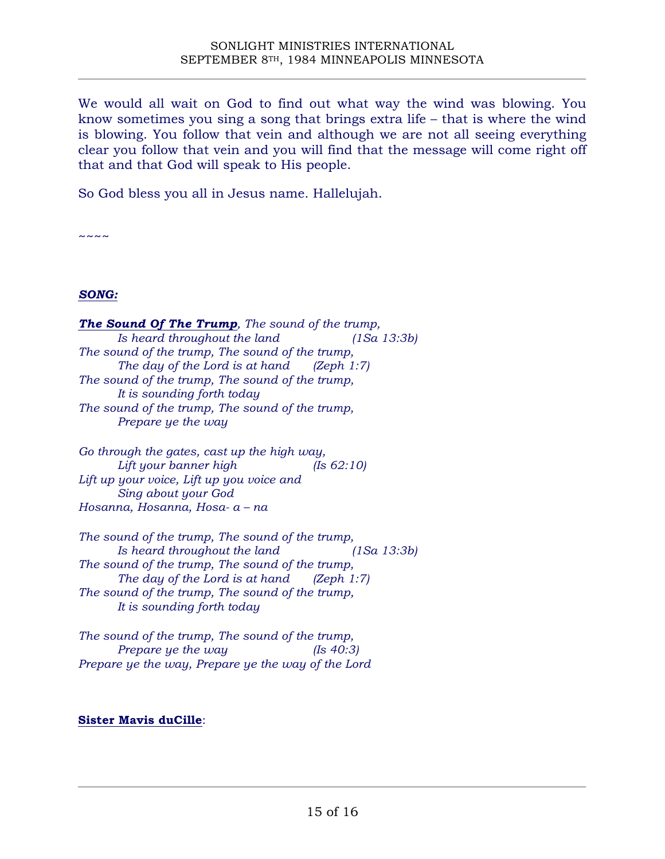We would all wait on God to find out what way the wind was blowing. You know sometimes you sing a song that brings extra life – that is where the wind is blowing. You follow that vein and although we are not all seeing everything clear you follow that vein and you will find that the message will come right off that and that God will speak to His people.

So God bless you all in Jesus name. Hallelujah.

 $\sim\sim\sim\sim$ 

### *SONG:*

*The Sound Of The Trump, The sound of the trump, Is heard throughout the land (1Sa 13:3b) The sound of the trump, The sound of the trump, The day of the Lord is at hand (Zeph 1:7) The sound of the trump, The sound of the trump, It is sounding forth today The sound of the trump, The sound of the trump, Prepare ye the way*

*Go through the gates, cast up the high way, Lift your banner high (Is 62:10) Lift up your voice, Lift up you voice and Sing about your God Hosanna, Hosanna, Hosa- a – na*

*The sound of the trump, The sound of the trump, Is heard throughout the land (1Sa 13:3b) The sound of the trump, The sound of the trump, The day of the Lord is at hand (Zeph 1:7) The sound of the trump, The sound of the trump, It is sounding forth today*

*The sound of the trump, The sound of the trump, Prepare ye the way (Is 40:3) Prepare ye the way, Prepare ye the way of the Lord*

### **Sister Mavis duCille**: